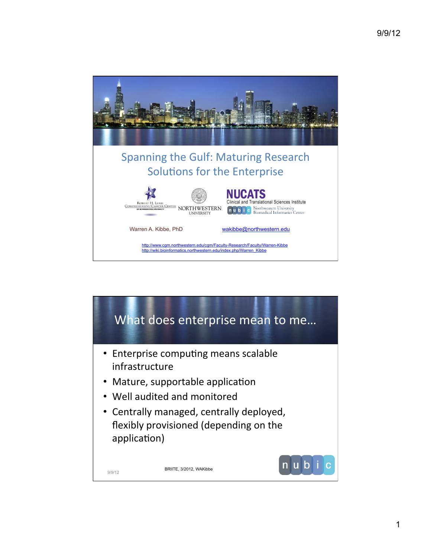

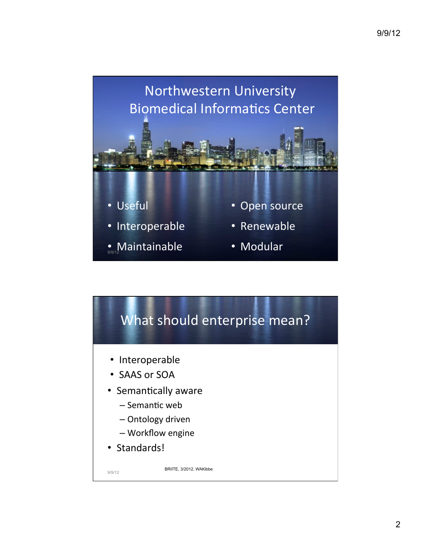

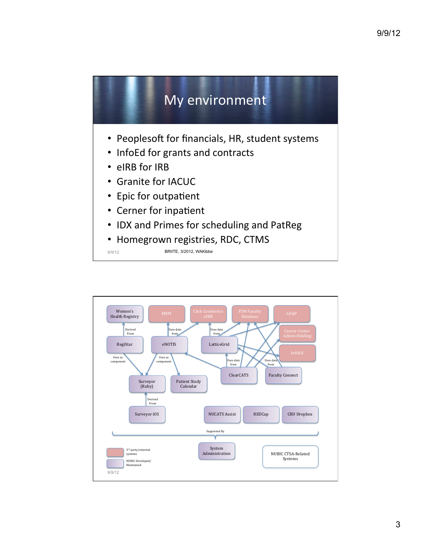

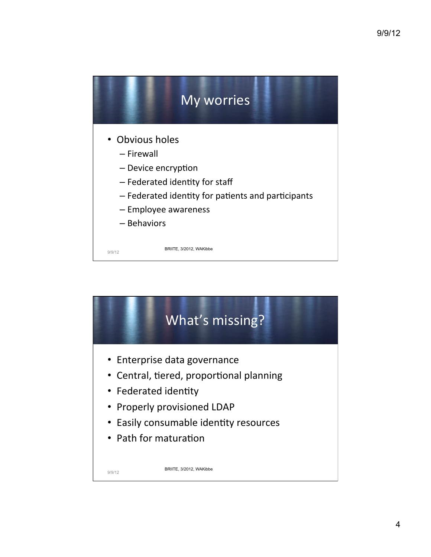

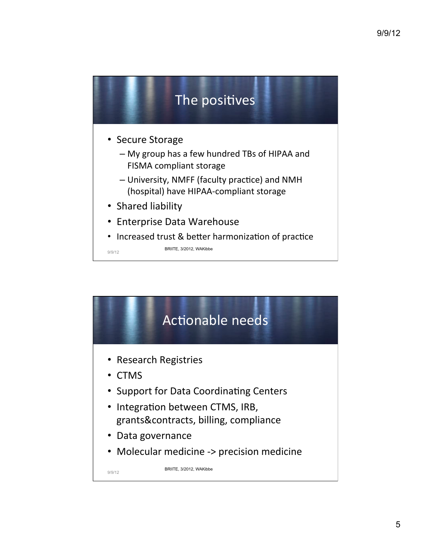

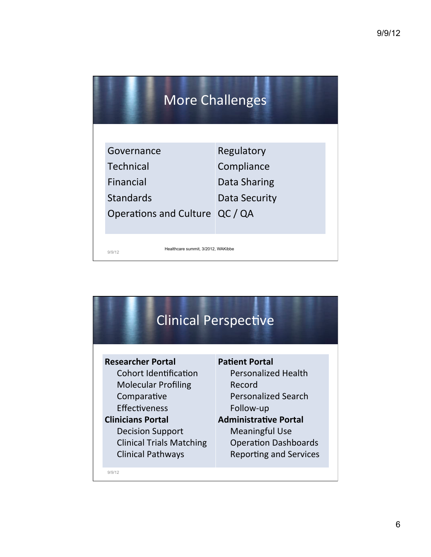| <b>More Challenges</b> |                                                    |                                          |
|------------------------|----------------------------------------------------|------------------------------------------|
|                        | Governance<br><b>Technical</b><br>Financial        | Regulatory<br>Compliance<br>Data Sharing |
|                        | <b>Standards</b><br>Operations and Culture QC / QA | Data Security                            |
|                        | Healthcare summit, 3/2012, WAKibbe<br>9/9/12       |                                          |

| <b>Clinical Perspective</b>     |                               |  |  |
|---------------------------------|-------------------------------|--|--|
| <b>Researcher Portal</b>        | <b>Patient Portal</b>         |  |  |
| Cohort Identification           | <b>Personalized Health</b>    |  |  |
| <b>Molecular Profiling</b>      | Record                        |  |  |
| Comparative                     | <b>Personalized Search</b>    |  |  |
| Effectiveness                   | Follow-up                     |  |  |
| <b>Clinicians Portal</b>        | <b>Administrative Portal</b>  |  |  |
| <b>Decision Support</b>         | <b>Meaningful Use</b>         |  |  |
| <b>Clinical Trials Matching</b> | <b>Operation Dashboards</b>   |  |  |
| <b>Clinical Pathways</b>        | <b>Reporting and Services</b> |  |  |
| 9/9/12                          |                               |  |  |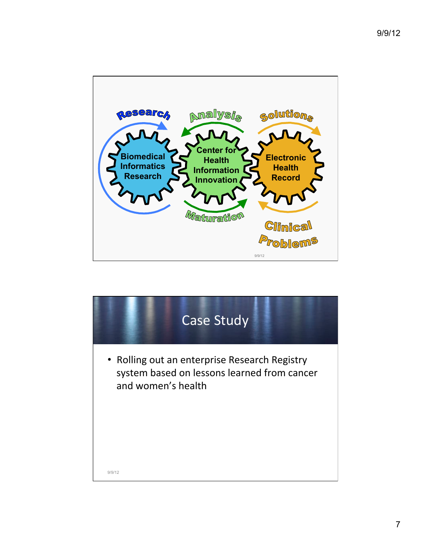

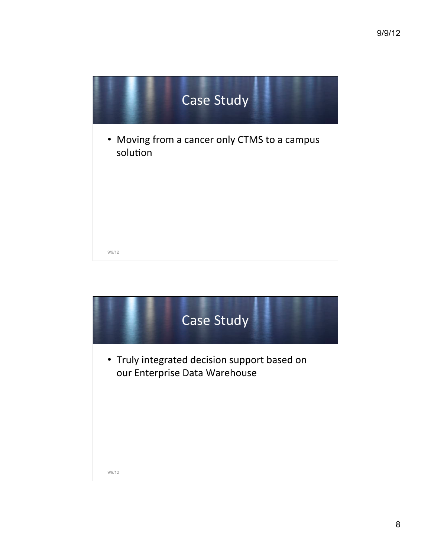

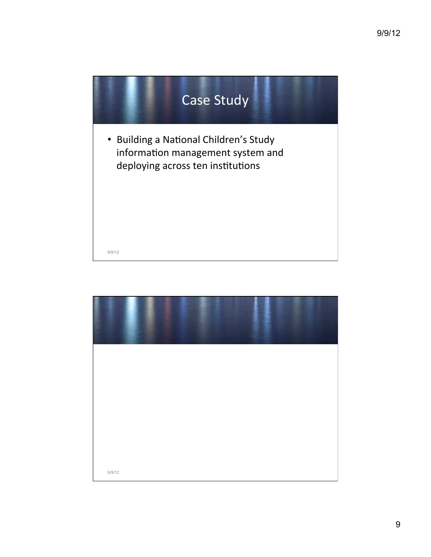

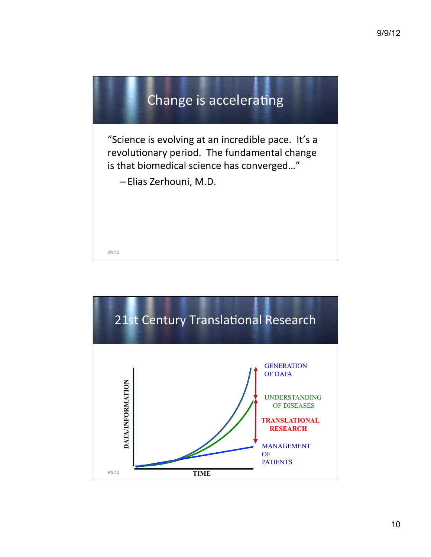

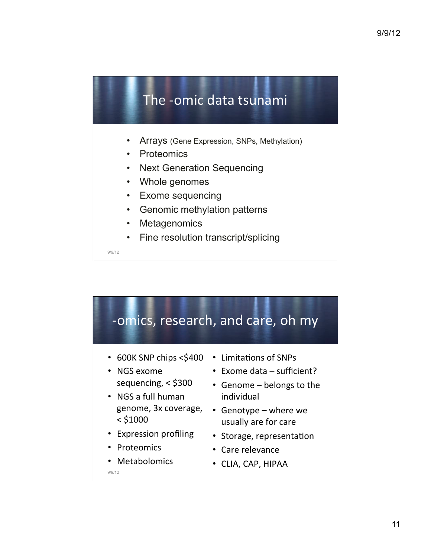## The -omic data tsunami

- Arrays (Gene Expression, SNPs, Methylation)
- **Proteomics**
- **Next Generation Sequencing**
- Whole genomes
- **Exome sequencing**
- Genomic methylation patterns
- **Metagenomics**
- Fine resolution transcript/splicing

9/9/12